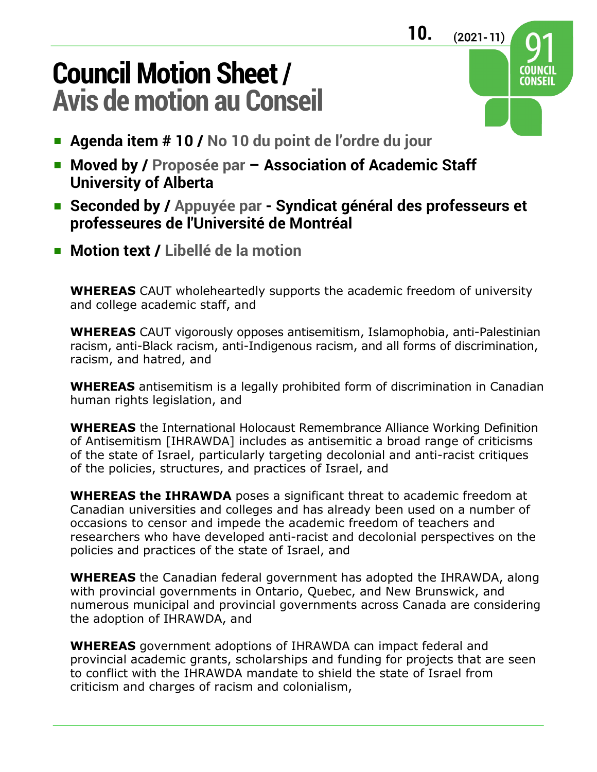## **Council Motion Sheet / Avis de motion au Conseil**

- **Agenda item # 10 / No 10 du point de l'ordre du jour**
- **Moved by / Proposée par Association of Academic Staff University of Alberta**
- **Seconded by / Appuyée par Syndicat général des professeurs et professeures de l'Université de Montréal**
- **Motion text / Libellé de la motion**

**WHEREAS** CAUT wholeheartedly supports the academic freedom of university and college academic staff, and

**WHEREAS** CAUT vigorously opposes antisemitism, Islamophobia, anti-Palestinian racism, anti-Black racism, anti-Indigenous racism, and all forms of discrimination, racism, and hatred, and

**WHEREAS** antisemitism is a legally prohibited form of discrimination in Canadian human rights legislation, and

**WHEREAS** the International Holocaust Remembrance Alliance Working Definition of Antisemitism [IHRAWDA] includes as antisemitic a broad range of criticisms of the state of Israel, particularly targeting decolonial and anti-racist critiques of the policies, structures, and practices of Israel, and

**WHEREAS the IHRAWDA** poses a significant threat to academic freedom at Canadian universities and colleges and has already been used on a number of occasions to censor and impede the academic freedom of teachers and researchers who have developed anti-racist and decolonial perspectives on the policies and practices of the state of Israel, and

**WHEREAS** the Canadian federal government has adopted the IHRAWDA, along with provincial governments in Ontario, Quebec, and New Brunswick, and numerous municipal and provincial governments across Canada are considering the adoption of IHRAWDA, and

**WHEREAS** government adoptions of IHRAWDA can impact federal and provincial academic grants, scholarships and funding for projects that are seen to conflict with the IHRAWDA mandate to shield the state of Israel from criticism and charges of racism and colonialism,